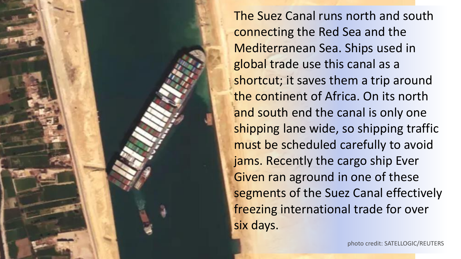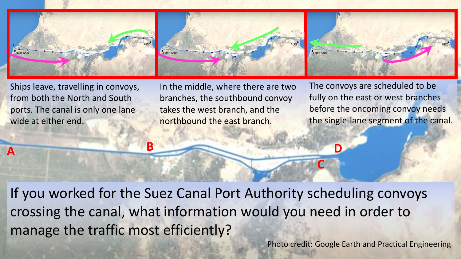

Ships leave, travelling in convoys, from both the North and South ports. The canal is only one lane wide at either end.

**B**

**A**

In the middle, where there are two branches, the southbound convoy takes the west branch, and the northbound the east branch.

The convoys are scheduled to be fully on the east or west branches before the oncoming convoy needs the single-lane segment of the canal.

If you worked for the Suez Canal Port Authority scheduling convoys crossing the canal, what information would you need in order to manage the traffic most efficiently?

Photo credit: Google Earth and Practical Engineering

**C**

**D**